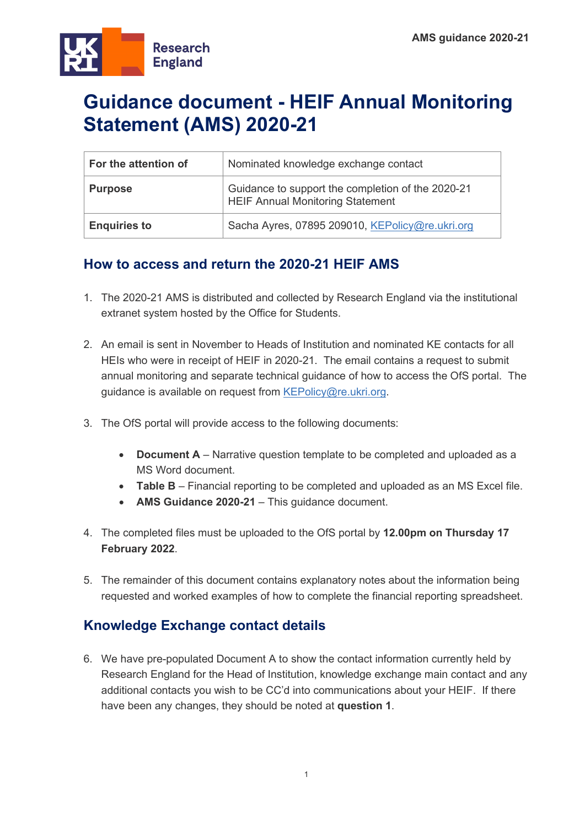

# **Guidance document - HEIF Annual Monitoring Statement (AMS) 2020-21**

| For the attention of | Nominated knowledge exchange contact                                                         |
|----------------------|----------------------------------------------------------------------------------------------|
| <b>Purpose</b>       | Guidance to support the completion of the 2020-21<br><b>HEIF Annual Monitoring Statement</b> |
| <b>Enquiries to</b>  | Sacha Ayres, 07895 209010, KEPolicy@re.ukri.org                                              |

# **How to access and return the 2020-21 HEIF AMS**

- 1. The 2020-21 AMS is distributed and collected by Research England via the institutional extranet system hosted by the Office for Students.
- 2. An email is sent in November to Heads of Institution and nominated KE contacts for all HEIs who were in receipt of HEIF in 2020-21. The email contains a request to submit annual monitoring and separate technical guidance of how to access the OfS portal. The guidance is available on request from [KEPolicy@re.ukri.org.](mailto:KEPolicy@re.ukri.org)
- 3. The OfS portal will provide access to the following documents:
	- **Document A** Narrative question template to be completed and uploaded as a MS Word document.
	- **Table B** Financial reporting to be completed and uploaded as an MS Excel file.
	- **AMS Guidance 2020-21** This guidance document.
- 4. The completed files must be uploaded to the OfS portal by **12.00pm on Thursday 17 February 2022**.
- 5. The remainder of this document contains explanatory notes about the information being requested and worked examples of how to complete the financial reporting spreadsheet.

# **Knowledge Exchange contact details**

6. We have pre-populated Document A to show the contact information currently held by Research England for the Head of Institution, knowledge exchange main contact and any additional contacts you wish to be CC'd into communications about your HEIF. If there have been any changes, they should be noted at **question 1**.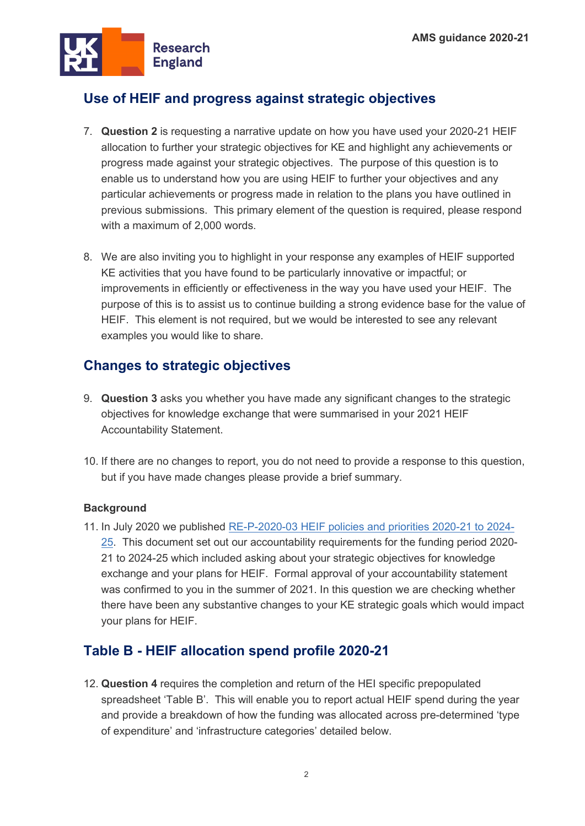

# **Use of HEIF and progress against strategic objectives**

- 7. **Question 2** is requesting a narrative update on how you have used your 2020-21 HEIF allocation to further your strategic objectives for KE and highlight any achievements or progress made against your strategic objectives. The purpose of this question is to enable us to understand how you are using HEIF to further your objectives and any particular achievements or progress made in relation to the plans you have outlined in previous submissions. This primary element of the question is required, please respond with a maximum of 2,000 words.
- 8. We are also inviting you to highlight in your response any examples of HEIF supported KE activities that you have found to be particularly innovative or impactful; or improvements in efficiently or effectiveness in the way you have used your HEIF. The purpose of this is to assist us to continue building a strong evidence base for the value of HEIF. This element is not required, but we would be interested to see any relevant examples you would like to share.

# **Changes to strategic objectives**

- 9. **Question 3** asks you whether you have made any significant changes to the strategic objectives for knowledge exchange that were summarised in your 2021 HEIF Accountability Statement.
- 10. If there are no changes to report, you do not need to provide a response to this question, but if you have made changes please provide a brief summary.

### **Background**

11. In July 2020 we published [RE-P-2020-03 HEIF policies and priorities 2020-21 to 2024-](https://re.ukri.org/sector-guidance/publications/heif-policies-and-priorities/) [25.](https://re.ukri.org/sector-guidance/publications/heif-policies-and-priorities/) This document set out our accountability requirements for the funding period 2020- 21 to 2024-25 which included asking about your strategic objectives for knowledge exchange and your plans for HEIF. Formal approval of your accountability statement was confirmed to you in the summer of 2021. In this question we are checking whether there have been any substantive changes to your KE strategic goals which would impact your plans for HEIF.

# **Table B - HEIF allocation spend profile 2020-21**

12. **Question 4** requires the completion and return of the HEI specific prepopulated spreadsheet 'Table B'. This will enable you to report actual HEIF spend during the year and provide a breakdown of how the funding was allocated across pre-determined 'type of expenditure' and 'infrastructure categories' detailed below.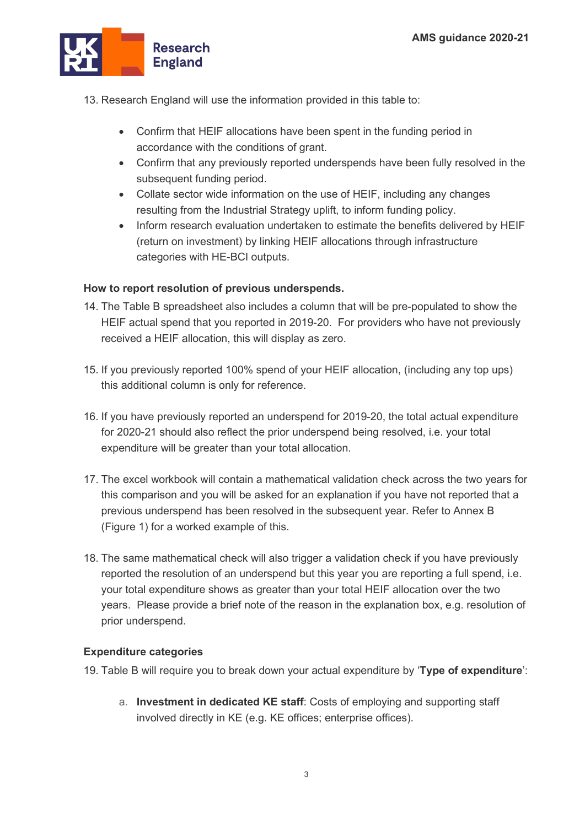

- 13. Research England will use the information provided in this table to:
	- Confirm that HEIF allocations have been spent in the funding period in accordance with the conditions of grant.
	- Confirm that any previously reported underspends have been fully resolved in the subsequent funding period.
	- Collate sector wide information on the use of HEIF, including any changes resulting from the Industrial Strategy uplift, to inform funding policy.
	- Inform research evaluation undertaken to estimate the benefits delivered by HEIF (return on investment) by linking HEIF allocations through infrastructure categories with HE-BCI outputs.

## **How to report resolution of previous underspends.**

- 14. The Table B spreadsheet also includes a column that will be pre-populated to show the HEIF actual spend that you reported in 2019-20. For providers who have not previously received a HEIF allocation, this will display as zero.
- 15. If you previously reported 100% spend of your HEIF allocation, (including any top ups) this additional column is only for reference.
- 16. If you have previously reported an underspend for 2019-20, the total actual expenditure for 2020-21 should also reflect the prior underspend being resolved, i.e. your total expenditure will be greater than your total allocation.
- 17. The excel workbook will contain a mathematical validation check across the two years for this comparison and you will be asked for an explanation if you have not reported that a previous underspend has been resolved in the subsequent year. Refer to Annex B (Figure 1) for a worked example of this.
- 18. The same mathematical check will also trigger a validation check if you have previously reported the resolution of an underspend but this year you are reporting a full spend, i.e. your total expenditure shows as greater than your total HEIF allocation over the two years. Please provide a brief note of the reason in the explanation box, e.g. resolution of prior underspend.

### **Expenditure categories**

- 19. Table B will require you to break down your actual expenditure by '**Type of expenditure**':
	- a. **Investment in dedicated KE staff**: Costs of employing and supporting staff involved directly in KE (e.g. KE offices; enterprise offices).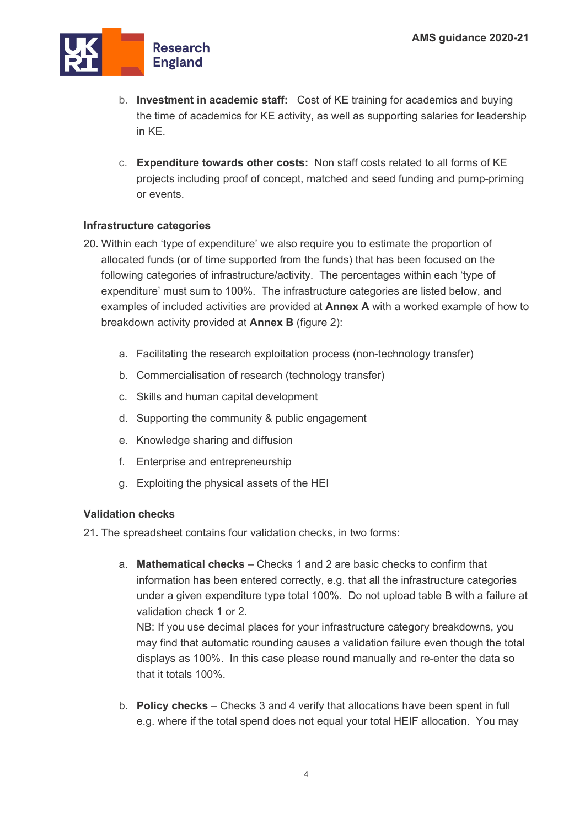

- b. **Investment in academic staff:** Cost of KE training for academics and buying the time of academics for KE activity, as well as supporting salaries for leadership in KE.
- c. **Expenditure towards other costs:** Non staff costs related to all forms of KE projects including proof of concept, matched and seed funding and pump-priming or events.

## **Infrastructure categories**

- 20. Within each 'type of expenditure' we also require you to estimate the proportion of allocated funds (or of time supported from the funds) that has been focused on the following categories of infrastructure/activity. The percentages within each 'type of expenditure' must sum to 100%. The infrastructure categories are listed below, and examples of included activities are provided at **Annex A** with a worked example of how to breakdown activity provided at **Annex B** (figure 2):
	- a. Facilitating the research exploitation process (non-technology transfer)
	- b. Commercialisation of research (technology transfer)
	- c. Skills and human capital development
	- d. Supporting the community & public engagement
	- e. Knowledge sharing and diffusion
	- f. Enterprise and entrepreneurship
	- g. Exploiting the physical assets of the HEI

### **Validation checks**

21. The spreadsheet contains four validation checks, in two forms:

a. **Mathematical checks** – Checks 1 and 2 are basic checks to confirm that information has been entered correctly, e.g. that all the infrastructure categories under a given expenditure type total 100%. Do not upload table B with a failure at validation check 1 or 2. NB: If you use decimal places for your infrastructure category breakdowns, you

may find that automatic rounding causes a validation failure even though the total displays as 100%. In this case please round manually and re-enter the data so that it totals 100%.

b. **Policy checks** – Checks 3 and 4 verify that allocations have been spent in full e.g. where if the total spend does not equal your total HEIF allocation. You may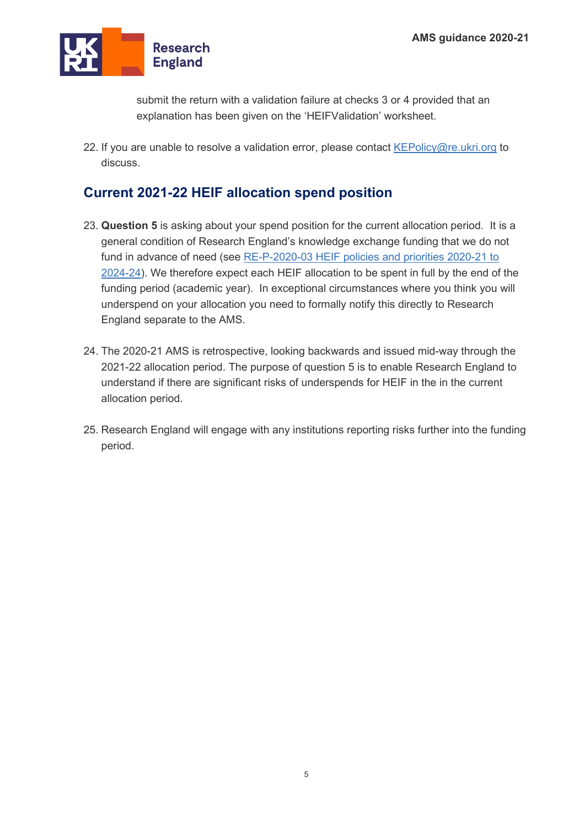

submit the return with a validation failure at checks 3 or 4 provided that an explanation has been given on the 'HEIFValidation' worksheet.

22. If you are unable to resolve a validation error, please contact  $KEPolicy@re.ukri.org$  to discuss.

# **Current 2021-22 HEIF allocation spend position**

- 23. **Question 5** is asking about your spend position for the current allocation period. It is a general condition of Research England's knowledge exchange funding that we do not fund in advance of need (see RE-P-2020-03 HEIF policies and priorities 2020-21 to [2024-24\)](https://re.ukri.org/sector-guidance/publications/heif-policies-and-priorities/). We therefore expect each HEIF allocation to be spent in full by the end of the funding period (academic year). In exceptional circumstances where you think you will underspend on your allocation you need to formally notify this directly to Research England separate to the AMS.
- 24. The 2020-21 AMS is retrospective, looking backwards and issued mid-way through the 2021-22 allocation period. The purpose of question 5 is to enable Research England to understand if there are significant risks of underspends for HEIF in the in the current allocation period.
- 25. Research England will engage with any institutions reporting risks further into the funding period.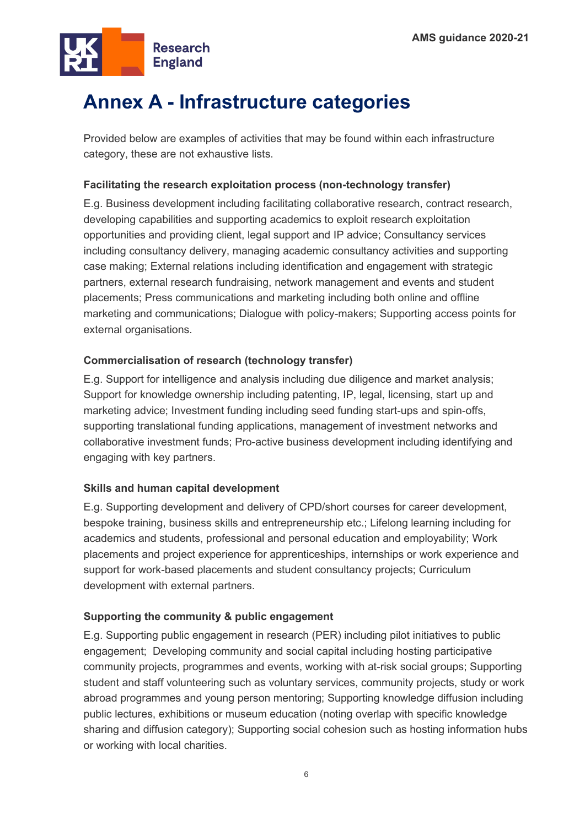

# **Annex A - Infrastructure categories**

Provided below are examples of activities that may be found within each infrastructure category, these are not exhaustive lists.

## **Facilitating the research exploitation process (non-technology transfer)**

E.g. Business development including facilitating collaborative research, contract research, developing capabilities and supporting academics to exploit research exploitation opportunities and providing client, legal support and IP advice; Consultancy services including consultancy delivery, managing academic consultancy activities and supporting case making; External relations including identification and engagement with strategic partners, external research fundraising, network management and events and student placements; Press communications and marketing including both online and offline marketing and communications; Dialogue with policy-makers; Supporting access points for external organisations.

## **Commercialisation of research (technology transfer)**

E.g. Support for intelligence and analysis including due diligence and market analysis; Support for knowledge ownership including patenting, IP, legal, licensing, start up and marketing advice; Investment funding including seed funding start-ups and spin-offs, supporting translational funding applications, management of investment networks and collaborative investment funds; Pro-active business development including identifying and engaging with key partners.

### **Skills and human capital development**

E.g. Supporting development and delivery of CPD/short courses for career development, bespoke training, business skills and entrepreneurship etc.; Lifelong learning including for academics and students, professional and personal education and employability; Work placements and project experience for apprenticeships, internships or work experience and support for work-based placements and student consultancy projects; Curriculum development with external partners.

## **Supporting the community & public engagement**

E.g. Supporting public engagement in research (PER) including pilot initiatives to public engagement; Developing community and social capital including hosting participative community projects, programmes and events, working with at-risk social groups; Supporting student and staff volunteering such as voluntary services, community projects, study or work abroad programmes and young person mentoring; Supporting knowledge diffusion including public lectures, exhibitions or museum education (noting overlap with specific knowledge sharing and diffusion category); Supporting social cohesion such as hosting information hubs or working with local charities.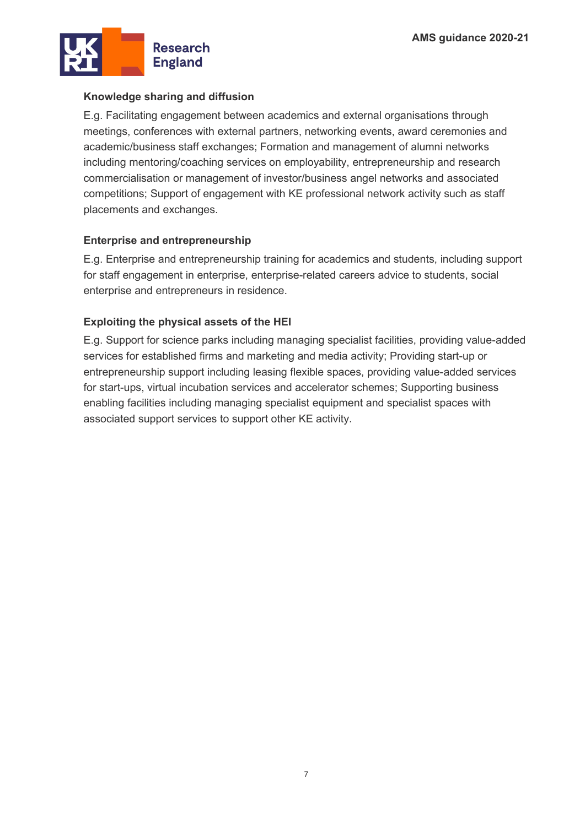

## **Knowledge sharing and diffusion**

E.g. Facilitating engagement between academics and external organisations through meetings, conferences with external partners, networking events, award ceremonies and academic/business staff exchanges; Formation and management of alumni networks including mentoring/coaching services on employability, entrepreneurship and research commercialisation or management of investor/business angel networks and associated competitions; Support of engagement with KE professional network activity such as staff placements and exchanges.

### **Enterprise and entrepreneurship**

E.g. Enterprise and entrepreneurship training for academics and students, including support for staff engagement in enterprise, enterprise-related careers advice to students, social enterprise and entrepreneurs in residence.

## **Exploiting the physical assets of the HEI**

E.g. Support for science parks including managing specialist facilities, providing value-added services for established firms and marketing and media activity; Providing start-up or entrepreneurship support including leasing flexible spaces, providing value-added services for start-ups, virtual incubation services and accelerator schemes; Supporting business enabling facilities including managing specialist equipment and specialist spaces with associated support services to support other KE activity.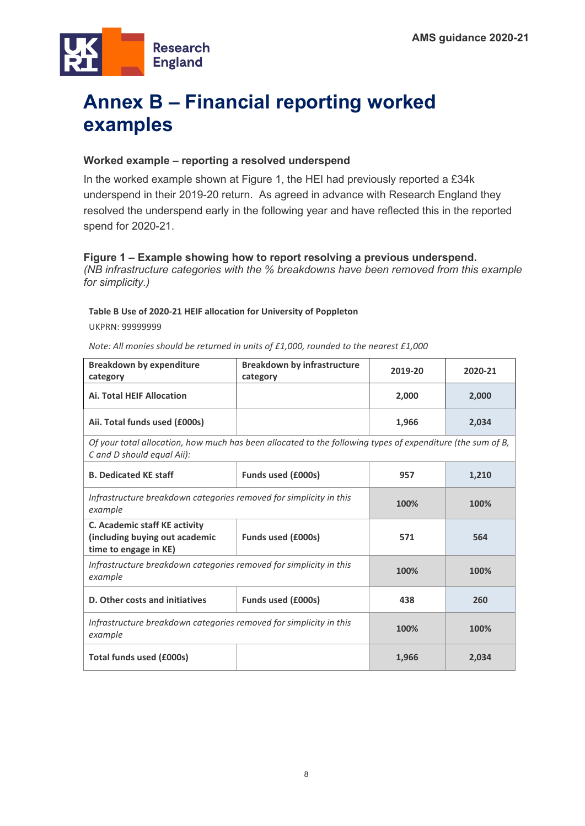

# **Annex B – Financial reporting worked examples**

### **Worked example – reporting a resolved underspend**

In the worked example shown at Figure 1, the HEI had previously reported a £34k underspend in their 2019-20 return. As agreed in advance with Research England they resolved the underspend early in the following year and have reflected this in the reported spend for 2020-21.

#### **Figure 1 – Example showing how to report resolving a previous underspend.**

*(NB infrastructure categories with the % breakdowns have been removed from this example for simplicity.)*

#### **Table B Use of 2020-21 HEIF allocation for University of Poppleton**

UKPRN: 99999999

*Note: All monies should be returned in units of £1,000, rounded to the nearest £1,000*

| <b>Breakdown by expenditure</b><br>category                                                                                              | <b>Breakdown by infrastructure</b><br>category | 2019-20 | 2020-21 |  |
|------------------------------------------------------------------------------------------------------------------------------------------|------------------------------------------------|---------|---------|--|
| <b>Ai. Total HEIF Allocation</b>                                                                                                         |                                                | 2,000   | 2,000   |  |
| Aii. Total funds used (£000s)                                                                                                            |                                                | 1,966   | 2,034   |  |
| Of your total allocation, how much has been allocated to the following types of expenditure (the sum of B,<br>C and D should equal Aii): |                                                |         |         |  |
| <b>B. Dedicated KE staff</b>                                                                                                             | <b>Funds used (£000s)</b>                      | 957     | 1,210   |  |
| Infrastructure breakdown categories removed for simplicity in this<br>example                                                            |                                                | 100%    | 100%    |  |
| C. Academic staff KE activity<br>(including buying out academic<br>time to engage in KE)                                                 | Funds used (£000s)                             | 571     | 564     |  |
| Infrastructure breakdown categories removed for simplicity in this<br>example                                                            |                                                | 100%    | 100%    |  |
| D. Other costs and initiatives                                                                                                           | <b>Funds used (£000s)</b>                      | 438     | 260     |  |
| Infrastructure breakdown categories removed for simplicity in this<br>example                                                            |                                                | 100%    | 100%    |  |
| Total funds used (£000s)                                                                                                                 |                                                | 1,966   | 2,034   |  |